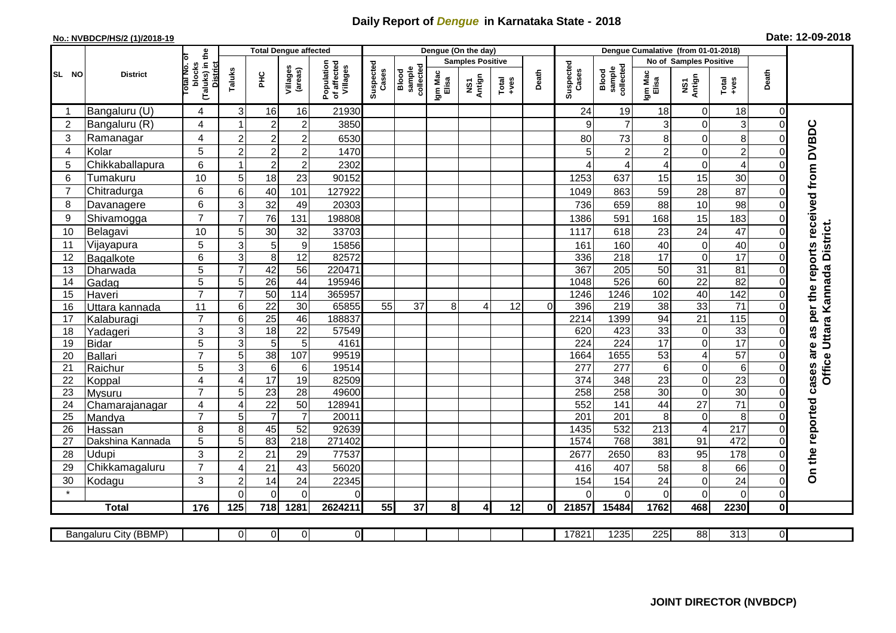## **Daily Report of** *Dengue* **in Karnataka State - 2018**

## **No.: NVBDCP/HS/2 (1)/2018-19 Date: 12-09-2018**

|                |                       | the                                             | <b>Total Dengue affected</b> |                                   |                      |                                       | Dengue (On the day) |                              |                         |               |               |          | Dengue Cumalative (from 01-01-2018) |                              |                         |                                |                      |                      |                                                                  |
|----------------|-----------------------|-------------------------------------------------|------------------------------|-----------------------------------|----------------------|---------------------------------------|---------------------|------------------------------|-------------------------|---------------|---------------|----------|-------------------------------------|------------------------------|-------------------------|--------------------------------|----------------------|----------------------|------------------------------------------------------------------|
|                |                       | ö                                               |                              |                                   |                      |                                       |                     |                              | <b>Samples Positive</b> |               |               |          |                                     |                              | No of Samples Positive  |                                |                      |                      |                                                                  |
| <b>SL NO</b>   | <b>District</b>       | otal No.<br>blocks<br>(Taluks) in t<br>District | Taluks                       | PНC                               | Villages<br>(areas)  | Population<br>of affected<br>Villages | Suspected<br>Cases  | Blood<br>sample<br>collected | Igm Mac<br>Elisa        | Antign<br>VS7 | Total<br>+ves | Death    | Suspected<br>Cases                  | Blood<br>sample<br>collected | Igm Mac<br>Elisa        | NS1<br>Antign                  | Total<br>$+ve$ es    | Death                |                                                                  |
| -1             | Bangaluru (U)         | 4                                               | 3                            | 16                                | 16                   | 21930                                 |                     |                              |                         |               |               |          | 24                                  | 19                           | 18                      | $\mathbf 0$                    | 18                   | 0                    |                                                                  |
| $\overline{c}$ | Bangaluru (R)         | 4                                               | $\mathbf{1}$                 | $\overline{2}$                    | $\boldsymbol{2}$     | 3850                                  |                     |                              |                         |               |               |          | 9                                   | $\overline{7}$               | 3                       | $\mathbf 0$                    | 3                    | $\mathbf 0$          |                                                                  |
| 3              | Ramanagar             | 4                                               | $\overline{2}$               | $\overline{c}$                    | $\overline{c}$       | 6530                                  |                     |                              |                         |               |               |          | 80                                  | 73                           | 8                       | $\mathbf 0$                    | 8                    | $\Omega$             |                                                                  |
| $\overline{4}$ | Kolar                 | 5                                               | $\overline{2}$               | $\overline{c}$                    | $\boldsymbol{2}$     | 1470                                  |                     |                              |                         |               |               |          | 5                                   | $\overline{c}$               | $\overline{2}$          | $\boldsymbol{0}$               | $\overline{c}$       | $\Omega$             |                                                                  |
| 5              | Chikkaballapura       | 6                                               | $\mathbf{1}$                 | $\overline{c}$                    | $\overline{2}$       | 2302                                  |                     |                              |                         |               |               |          | $\overline{A}$                      | 4                            | $\overline{\mathbf{4}}$ | $\mathbf 0$                    | 4                    | $\Omega$             |                                                                  |
| 6              | Tumakuru              | 10                                              | 5                            | 18                                | 23                   | 90152                                 |                     |                              |                         |               |               |          | 1253                                | 637                          | 15                      | 15                             | 30                   | $\Omega$             |                                                                  |
| $\overline{7}$ | Chitradurga           | 6                                               | 6                            | 40                                | 101                  | 127922                                |                     |                              |                         |               |               |          | 1049                                | 863                          | 59                      | 28                             | 87                   | $\Omega$             |                                                                  |
| 8              | Davanagere            | 6                                               | 3                            | 32                                | 49                   | 20303                                 |                     |                              |                         |               |               |          | 736                                 | 659                          | 88                      | 10                             | 98                   | $\Omega$             |                                                                  |
| 9              | Shivamogga            | $\overline{7}$                                  | $\overline{7}$               | 76                                | 131                  | 198808                                |                     |                              |                         |               |               |          | 1386                                | 591                          | 168                     | 15                             | 183                  | $\mathbf 0$          |                                                                  |
| 10             | Belagavi              | 10                                              | 5                            | 30                                | 32                   | 33703                                 |                     |                              |                         |               |               |          | 1117                                | 618                          | 23                      | 24                             | 47                   | $\overline{0}$       | Office Uttara Kannada District.                                  |
| 11             | Vijayapura            | 5                                               | 3                            | 5                                 | $\boldsymbol{9}$     | 15856                                 |                     |                              |                         |               |               |          | 161                                 | 160                          | 40                      | $\pmb{0}$                      | 40                   | 0                    |                                                                  |
| 12             | Bagalkote             | 6                                               | 3                            | $\overline{8}$                    | $\overline{12}$      | 82572                                 |                     |                              |                         |               |               |          | 336                                 | 218                          | $\overline{17}$         | $\boldsymbol{0}$               | $\overline{17}$      | $\overline{0}$       |                                                                  |
| 13             | Dharwada              | 5                                               | $\overline{7}$               | 42                                | $\overline{56}$      | 220471                                |                     |                              |                         |               |               |          | 367                                 | $\overline{205}$             | 50                      | $\overline{31}$                | $\overline{81}$      | 0                    |                                                                  |
| 14             | Gadag                 | 5                                               | 5                            | $\overline{26}$                   | 44                   | 195946                                |                     |                              |                         |               |               |          | 1048                                | 526                          | 60                      | $\overline{22}$                | 82                   | $\mathbf 0$          |                                                                  |
| 15             | Haveri                | $\overline{7}$                                  | $\overline{7}$               | 50                                | 114                  | 365957                                |                     |                              |                         |               |               |          | 1246                                | 1246                         | 102                     | 40                             | 142                  | $\mathbf 0$          |                                                                  |
| 16             | Uttara kannada        | 11                                              | 6                            | $\overline{22}$                   | $\overline{30}$      | 65855                                 | $\overline{55}$     | 37                           | 8                       | 4             | 12            | $\Omega$ | 396                                 | $\overline{219}$             | $\overline{38}$         | 33                             | $\overline{71}$      | 0                    |                                                                  |
| 17             | Kalaburagi            | $\overline{7}$                                  | 6                            | $\overline{25}$                   | 46                   | 188837                                |                     |                              |                         |               |               |          | 2214                                | 1399                         | 94                      | 21                             | 115                  | $\Omega$             |                                                                  |
| 18             | Yadageri              | 3                                               | 3                            | 18                                | 22                   | 57549                                 |                     |                              |                         |               |               |          | 620                                 | 423                          | 33                      | $\pmb{0}$                      | 33                   | $\overline{0}$       |                                                                  |
| 19             | <b>Bidar</b>          | 5                                               | 3                            | 5                                 | 5                    | 4161                                  |                     |                              |                         |               |               |          | 224                                 | 224                          | 17                      | $\mathbf 0$                    | $\overline{17}$      | $\Omega$             |                                                                  |
| 20             | Ballari               | $\overline{7}$                                  | $\overline{5}$               | 38                                | 107                  | 99519                                 |                     |                              |                         |               |               |          | 1664                                | 1655                         | 53                      | $\overline{4}$                 | 57                   | $\Omega$             |                                                                  |
| 21             | Raichur               | 5                                               | 3                            | $6\phantom{1}6$                   | 6                    | 19514                                 |                     |                              |                         |               |               |          | 277                                 | 277                          | 6                       | $\boldsymbol{0}$               | 6                    | $\mathbf 0$          |                                                                  |
| 22             | Koppal                | $\overline{4}$                                  | 4                            | 17                                | 19                   | 82509                                 |                     |                              |                         |               |               |          | 374                                 | 348                          | 23                      | $\boldsymbol{0}$               | 23                   | $\mathbf 0$          |                                                                  |
| 23             | Mysuru                | $\overline{7}$                                  | 5                            | 23                                | $\overline{28}$      | 49600                                 |                     |                              |                         |               |               |          | 258                                 | 258                          | 30                      | $\overline{0}$                 | 30                   | $\overline{0}$       |                                                                  |
| 24<br>25       | Chamarajanagar        | 4<br>$\overline{7}$                             | $\overline{4}$<br>5          | $\overline{22}$<br>$\overline{7}$ | 50<br>$\overline{7}$ | 128941<br>20011                       |                     |                              |                         |               |               |          | 552<br>$\overline{201}$             | 141<br>201                   | 44<br>8                 | $\overline{27}$<br>$\mathbf 0$ | $\overline{71}$<br>8 | $\Omega$<br>$\Omega$ |                                                                  |
| 26             | Mandya<br>Hassan      | 8                                               | 8                            | 45                                | 52                   | 92639                                 |                     |                              |                         |               |               |          | 1435                                | 532                          | 213                     | $\overline{4}$                 | $\overline{217}$     | $\mathbf 0$          |                                                                  |
| 27             | Dakshina Kannada      | 5                                               | 5                            | 83                                | 218                  | 271402                                |                     |                              |                         |               |               |          | 1574                                | 768                          | 381                     | 91                             | 472                  | $\Omega$             |                                                                  |
| 28             | Udupi                 | 3                                               | $\overline{2}$               | 21                                | 29                   | 77537                                 |                     |                              |                         |               |               |          | 2677                                | 2650                         | 83                      | 95                             | 178                  | $\Omega$             |                                                                  |
| 29             | Chikkamagaluru        | $\overline{7}$                                  | $\overline{4}$               | 21                                | 43                   | 56020                                 |                     |                              |                         |               |               |          | 416                                 | 407                          | 58                      | 8                              | 66                   | $\Omega$             |                                                                  |
| 30             | Kodagu                | 3                                               | $\overline{c}$               | 14                                | 24                   | 22345                                 |                     |                              |                         |               |               |          | 154                                 | 154                          | 24                      | $\mathbf 0$                    | 24                   | 0                    | On the reported cases are as per the reports received from DVBDC |
|                |                       |                                                 | $\Omega$                     | $\overline{0}$                    | $\mathbf 0$          | $\Omega$                              |                     |                              |                         |               |               |          | $\Omega$                            | $\Omega$                     | $\overline{0}$          | $\mathbf 0$                    | 0                    | $\mathbf 0$          |                                                                  |
|                | <b>Total</b>          | 176                                             | 125                          | 718                               | 1281                 | 2624211                               | 55                  | 37                           | 81                      | 4             | 12            | $\bf{0}$ | 21857                               | 15484                        | 1762                    | 468                            | 2230                 | $\mathbf 0$          |                                                                  |
|                |                       |                                                 |                              |                                   |                      |                                       |                     |                              |                         |               |               |          |                                     |                              |                         |                                |                      |                      |                                                                  |
|                | Bangaluru City (BBMP) |                                                 | $\overline{0}$               | $\overline{0}$                    | $\overline{0}$       | $\overline{0}$                        |                     |                              |                         |               |               |          | 17821                               | 1235                         | 225                     | 88                             | 313                  | $\overline{0}$       |                                                                  |